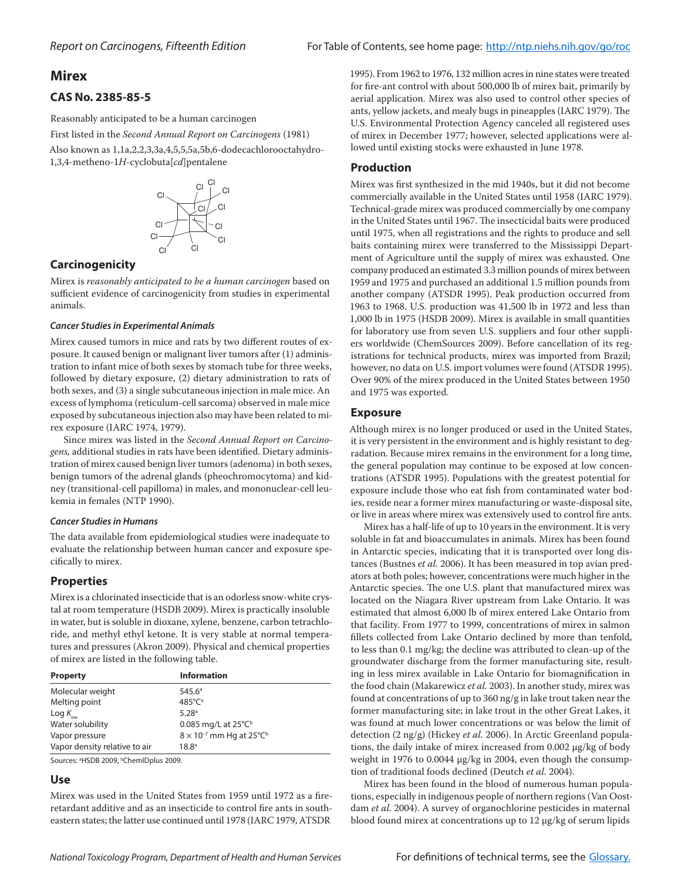# **Mirex**

# **CAS No. 2385-85-5**

Reasonably anticipated to be a human carcinogen

First listed in the *Second Annual Report on Carcinogens* (1981) Also known as 1,1a,2,2,3,3a,4,5,5,5a,5b,6-dodecachlorooctahydro-

1,3,4-metheno-1*H*-cyclobuta[*cd*]pentalene



## **Carcinogenicity**

Mirex is *reasonably anticipated to be a human carcinogen* based on sufficient evidence of carcinogenicity from studies in experimental animals.

#### *Cancer Studies in Experimental Animals*

Mirex caused tumors in mice and rats by two different routes of exposure. It caused benign or malignant liver tumors after (1) administration to infant mice of both sexes by stomach tube for three weeks, followed by dietary exposure, (2) dietary administration to rats of both sexes, and (3) a single subcutaneous injection in male mice. An excess of lymphoma (reticulum-cell sarcoma) observed in male mice exposed by subcutaneous injection also may have been related to mirex exposure (IARC 1974, 1979).

Since mirex was listed in the *Second Annual Report on Carcinogens,* additional studies in rats have been identified. Dietary administration of mirex caused benign liver tumors (adenoma) in both sexes, benign tumors of the adrenal glands (pheochromocytoma) and kidney (transitional-cell papilloma) in males, and mononuclear-cell leukemia in females (NTP 1990).

#### *Cancer Studies in Humans*

The data available from epidemiological studies were inadequate to evaluate the relationship between human cancer and exposure specifically to mirex.

## **Properties**

Mirex is a chlorinated insecticide that is an odorless snow-white crystal at room temperature (HSDB 2009). Mirex is practically insoluble in water, but is soluble in dioxane, xylene, benzene, carbon tetrachloride, and methyl ethyl ketone. It is very stable at normal temperatures and pressures (Akron 2009). Physical and chemical properties of mirex are listed in the following table.

| <b>Property</b>               | <b>Information</b>                            |
|-------------------------------|-----------------------------------------------|
| Molecular weight              | 545.6 <sup>a</sup>                            |
| Melting point                 | 485°Cª                                        |
| Log $K_{\text{ow}}$           | 5.28 <sup>a</sup>                             |
| Water solubility              | 0.085 mg/L at $25^{\circ}C^{\circ}$           |
| Vapor pressure                | $8 \times 10^{-7}$ mm Hg at 25°C <sup>b</sup> |
| Vapor density relative to air | 18.8 <sup>a</sup>                             |

Sources: <sup>a</sup>HSDB 2009, <sup>b</sup>ChemIDplus 2009.

### **Use**

Mirex was used in the United States from 1959 until 1972 as a fireretardant additive and as an insecticide to control fire ants in southeastern states; the latter use continued until 1978 (IARC 1979, ATSDR

1995). From 1962 to 1976, 132 million acres in nine states were treated for fire-ant control with about 500,000 lb of mirex bait, primarily by aerial application. Mirex was also used to control other species of ants, yellow jackets, and mealy bugs in pineapples (IARC 1979). The U.S. Environmental Protection Agency canceled all registered uses of mirex in December 1977; however, selected applications were allowed until existing stocks were exhausted in June 1978.

## **Production**

Mirex was first synthesized in the mid 1940s, but it did not become commercially available in the United States until 1958 (IARC 1979). Technical-grade mirex was produced commercially by one company in the United States until 1967. The insecticidal baits were produced until 1975, when all registrations and the rights to produce and sell baits containing mirex were transferred to the Mississippi Department of Agriculture until the supply of mirex was exhausted. One company produced an estimated 3.3 million pounds of mirex between 1959 and 1975 and purchased an additional 1.5 million pounds from another company (ATSDR 1995). Peak production occurred from 1963 to 1968. U.S. production was 41,500 lb in 1972 and less than 1,000 lb in 1975 (HSDB 2009). Mirex is available in small quantities for laboratory use from seven U.S. suppliers and four other suppliers worldwide (ChemSources 2009). Before cancellation of its registrations for technical products, mirex was imported from Brazil; however, no data on U.S. import volumes were found (ATSDR 1995). Over 90% of the mirex produced in the United States between 1950 and 1975 was exported.

## **Exposure**

Although mirex is no longer produced or used in the United States, it is very persistent in the environment and is highly resistant to degradation. Because mirex remains in the environment for a long time, the general population may continue to be exposed at low concentrations (ATSDR 1995). Populations with the greatest potential for exposure include those who eat fish from contaminated water bodies, reside near a former mirex manufacturing or waste-disposal site, or live in areas where mirex was extensively used to control fire ants.

Mirex has a half-life of up to 10 years in the environment. It is very soluble in fat and bioaccumulates in animals. Mirex has been found in Antarctic species, indicating that it is transported over long distances (Bustnes *et al.* 2006). It has been measured in top avian predators at both poles; however, concentrations were much higher in the Antarctic species. The one U.S. plant that manufactured mirex was located on the Niagara River upstream from Lake Ontario. It was estimated that almost 6,000 lb of mirex entered Lake Ontario from that facility. From 1977 to 1999, concentrations of mirex in salmon fillets collected from Lake Ontario declined by more than tenfold, to less than 0.1 mg/kg; the decline was attributed to clean-up of the groundwater discharge from the former manufacturing site, resulting in less mirex available in Lake Ontario for biomagnification in the food chain (Makarewicz *et al.* 2003). In another study, mirex was found at concentrations of up to 360 ng/g in lake trout taken near the former manufacturing site; in lake trout in the other Great Lakes, it was found at much lower concentrations or was below the limit of detection (2 ng/g) (Hickey *et al.* 2006). In Arctic Greenland populations, the daily intake of mirex increased from 0.002 μg/kg of body weight in 1976 to 0.0044 μg/kg in 2004, even though the consumption of traditional foods declined (Deutch *et al.* 2004).

Mirex has been found in the blood of numerous human populations, especially in indigenous people of northern regions (Van Oostdam *et al.* 2004). A survey of organochlorine pesticides in maternal blood found mirex at concentrations up to 12 μg/kg of serum lipids